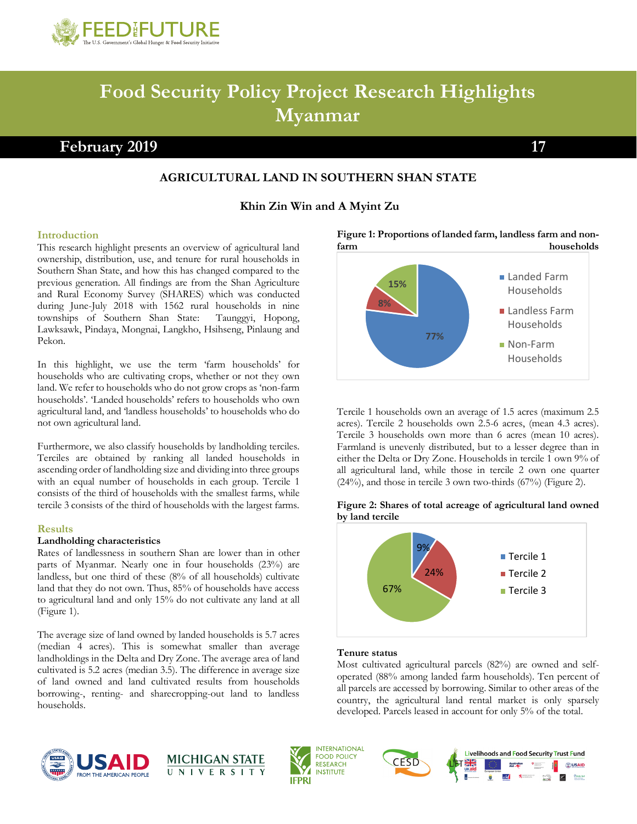

# **Food Security Policy Project Research Highlights Myanmar**

# **February 2019** 17

# **AGRICULTURAL LAND IN SOUTHERN SHAN STATE**

## **Khin Zin Win and A Myint Zu**

#### **Introduction**

This research highlight presents an overview of agricultural land ownership, distribution, use, and tenure for rural households in Southern Shan State, and how this has changed compared to the previous generation. All findings are from the Shan Agriculture and Rural Economy Survey (SHARES) which was conducted during June-July 2018 with 1562 rural households in nine townships of Southern Shan State: Taunggyi, Hopong, Lawksawk, Pindaya, Mongnai, Langkho, Hsihseng, Pinlaung and Pekon.

In this highlight, we use the term 'farm households' for households who are cultivating crops, whether or not they own land. We refer to households who do not grow crops as 'non-farm households'. 'Landed households' refers to households who own agricultural land, and 'landless households' to households who do not own agricultural land.

Furthermore, we also classify households by landholding terciles. Terciles are obtained by ranking all landed households in ascending order of landholding size and dividing into three groups with an equal number of households in each group. Tercile 1 consists of the third of households with the smallest farms, while tercile 3 consists of the third of households with the largest farms.

#### **Results**

#### **Landholding characteristics**

Rates of landlessness in southern Shan are lower than in other parts of Myanmar. Nearly one in four households (23%) are landless, but one third of these (8% of all households) cultivate land that they do not own. Thus, 85% of households have access to agricultural land and only 15% do not cultivate any land at all (Figure 1).

The average size of land owned by landed households is 5.7 acres (median 4 acres). This is somewhat smaller than average landholdings in the Delta and Dry Zone. The average area of land cultivated is 5.2 acres (median 3.5). The difference in average size of land owned and land cultivated results from households borrowing-, renting- and sharecropping-out land to landless households.





Tercile 1 households own an average of 1.5 acres (maximum 2.5 acres). Tercile 2 households own 2.5-6 acres, (mean 4.3 acres). Tercile 3 households own more than 6 acres (mean 10 acres). Farmland is unevenly distributed, but to a lesser degree than in either the Delta or Dry Zone. Households in tercile 1 own 9% of all agricultural land, while those in tercile 2 own one quarter (24%), and those in tercile 3 own two-thirds (67%) (Figure 2).

#### **Figure 2: Shares of total acreage of agricultural land owned by land tercile**



#### **Tenure status**

Most cultivated agricultural parcels (82%) are owned and selfoperated (88% among landed farm households). Ten percent of all parcels are accessed by borrowing. Similar to other areas of the country, the agricultural land rental market is only sparsely developed. Parcels leased in account for only 5% of the total.





**INTERNATIONAL FOOD POLICY RESEARCH INSTITUTE IFPRI** 

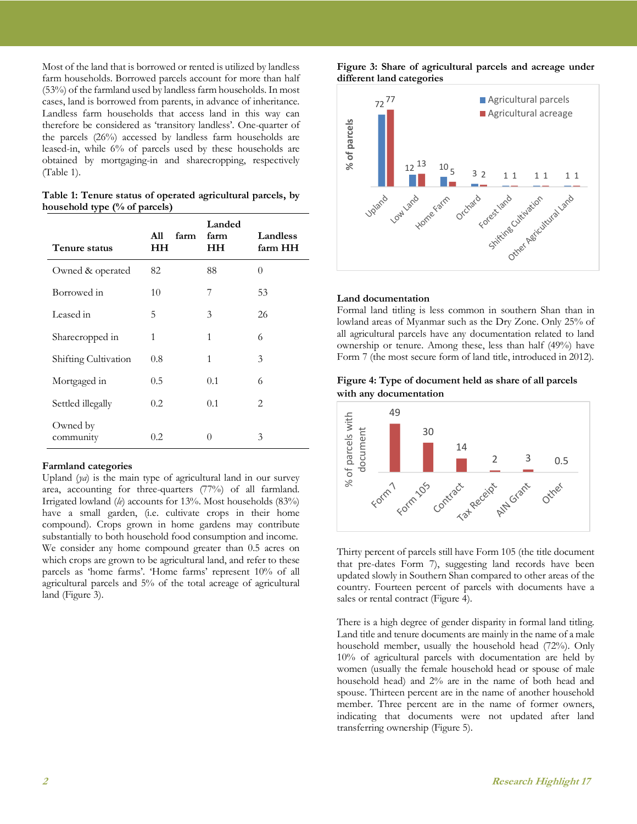Most of the land that is borrowed or rented is utilized by landless farm households. Borrowed parcels account for more than half (53%) of the farmland used by landless farm households. In most cases, land is borrowed from parents, in advance of inheritance. Landless farm households that access land in this way can therefore be considered as 'transitory landless'. One-quarter of the parcels (26%) accessed by landless farm households are leased-in, while 6% of parcels used by these households are obtained by mortgaging-in and sharecropping, respectively (Table 1).

| Table 1: Tenure status of operated agricultural parcels, by |  |  |  |
|-------------------------------------------------------------|--|--|--|
| household type $(\%$ of parcels)                            |  |  |  |

| Tenure status         | A11<br>farm<br>HН | Landed<br>farm<br>HН | Landless<br>farm HH |
|-----------------------|-------------------|----------------------|---------------------|
| Owned & operated      | 82                | 88                   | $\theta$            |
| Borrowed in           | 10                | 7                    | 53                  |
| Leased in             | 5                 | 3                    | 26                  |
| Sharecropped in       | 1                 | $\mathbf{1}$         | 6                   |
| Shifting Cultivation  | 0.8               | 1                    | 3                   |
| Mortgaged in          | 0.5               | 0.1                  | 6                   |
| Settled illegally     | 0.2               | 0.1                  | 2                   |
| Owned by<br>community | 0.2               | $\cup$               | 3                   |

#### **Farmland categories**

Upland (*ya*) is the main type of agricultural land in our survey area, accounting for three-quarters (77%) of all farmland. Irrigated lowland (*le*) accounts for 13%. Most households (83%) have a small garden, (i.e. cultivate crops in their home compound). Crops grown in home gardens may contribute substantially to both household food consumption and income. We consider any home compound greater than 0.5 acres on which crops are grown to be agricultural land, and refer to these parcels as 'home farms'. 'Home farms' represent 10% of all agricultural parcels and 5% of the total acreage of agricultural land (Figure 3).

**Figure 3: Share of agricultural parcels and acreage under different land categories**



#### **Land documentation**

Formal land titling is less common in southern Shan than in lowland areas of Myanmar such as the Dry Zone. Only 25% of all agricultural parcels have any documentation related to land ownership or tenure. Among these, less than half (49%) have Form 7 (the most secure form of land title, introduced in 2012).

#### **Figure 4: Type of document held as share of all parcels with any documentation**



Thirty percent of parcels still have Form 105 (the title document that pre-dates Form 7), suggesting land records have been updated slowly in Southern Shan compared to other areas of the country. Fourteen percent of parcels with documents have a sales or rental contract (Figure 4).

There is a high degree of gender disparity in formal land titling. Land title and tenure documents are mainly in the name of a male household member, usually the household head (72%). Only 10% of agricultural parcels with documentation are held by women (usually the female household head or spouse of male household head) and 2% are in the name of both head and spouse. Thirteen percent are in the name of another household member. Three percent are in the name of former owners, indicating that documents were not updated after land transferring ownership (Figure 5).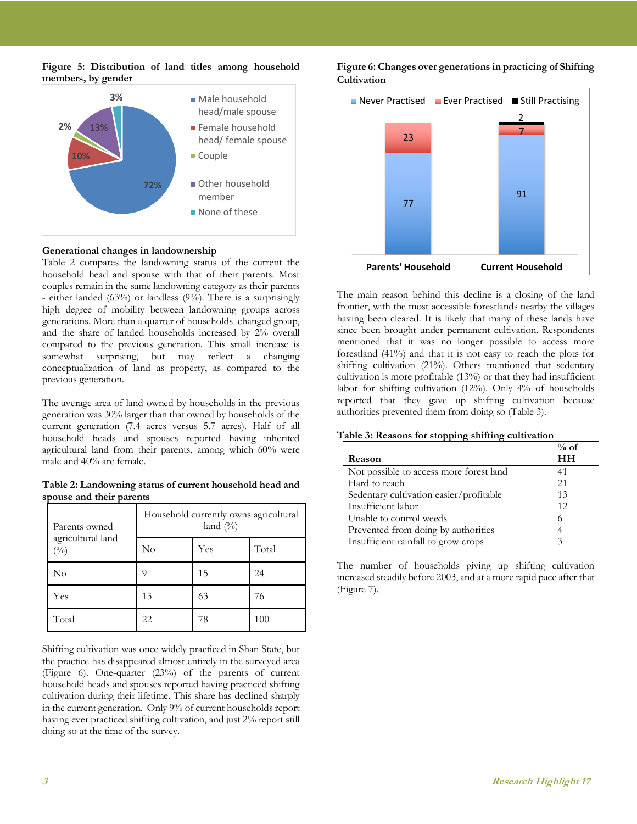



#### **Generational changes in landownership**

Table 2 compares the landowning status of the current the household head and spouse with that of their parents. Most couples remain in the same landowning category as their parents - either landed (63%) or landless (9%). There is a surprisingly high degree of mobility between landowning groups across generations. More than a quarter of households changed group, and the share of landed households increased by 2% overall compared to the previous generation. This small increase is somewhat surprising, but may reflect a changing surprising, but may reflect a changing conceptualization of land as property, as compared to the previous generation.

The average area of land owned by households in the previous generation was 30% larger than that owned by households of the current generation (7.4 acres versus 5.7 acres). Half of all household heads and spouses reported having inherited agricultural land from their parents, among which 60% were male and 40% are female.

**Table 2: Landowning status of current household head and spouse and their parents**

| Parents owned               | Household currently owns agricultural<br>land $(\%)$ |     |       |  |
|-----------------------------|------------------------------------------------------|-----|-------|--|
| agricultural land<br>$(\%)$ | No                                                   | Yes | Total |  |
| No                          | Q                                                    | 15  | 24    |  |
| Yes                         | 13                                                   | 63  | 76    |  |
| Total                       | 22                                                   | 78  | 100   |  |

Shifting cultivation was once widely practiced in Shan State, but the practice has disappeared almost entirely in the surveyed area (Figure 6). One-quarter (23%) of the parents of current household heads and spouses reported having practiced shifting cultivation during their lifetime. This share has declined sharply in the current generation. Only 9% of current households report having ever practiced shifting cultivation, and just 2% report still doing so at the time of the survey.





The main reason behind this decline is a closing of the land frontier, with the most accessible forestlands nearby the villages having been cleared. It is likely that many of these lands have since been brought under permanent cultivation. Respondents mentioned that it was no longer possible to access more forestland (41%) and that it is not easy to reach the plots for shifting cultivation (21%). Others mentioned that sedentary cultivation is more profitable (13%) or that they had insufficient labor for shifting cultivation (12%). Only 4% of households reported that they gave up shifting cultivation because authorities prevented them from doing so (Table 3).

#### **Table 3: Reasons for stopping shifting cultivation**

|                                         | $%$ of |
|-----------------------------------------|--------|
| Reason                                  | HН     |
| Not possible to access more forest land | 41     |
| Hard to reach                           | 21     |
| Sedentary cultivation easier/profitable | 13     |
| Insufficient labor                      | 12     |
| Unable to control weeds                 | 6      |
| Prevented from doing by authorities     |        |
| Insufficient rainfall to grow crops     |        |

The number of households giving up shifting cultivation increased steadily before 2003, and at a more rapid pace after that (Figure 7).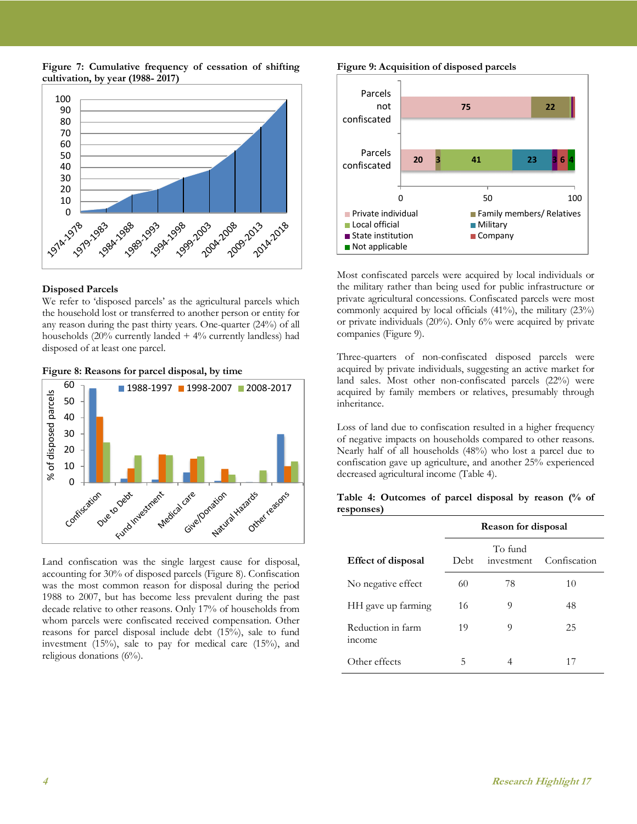**Figure 7: Cumulative frequency of cessation of shifting cultivation, by year (1988- 2017)** 



#### **Disposed Parcels**

We refer to 'disposed parcels' as the agricultural parcels which the household lost or transferred to another person or entity for any reason during the past thirty years. One-quarter (24%) of all households  $(20\%$  currently landed  $+4\%$  currently landless) had disposed of at least one parcel.

#### **Figure 8: Reasons for parcel disposal, by time**



Land confiscation was the single largest cause for disposal, accounting for 30% of disposed parcels (Figure 8). Confiscation was the most common reason for disposal during the period 1988 to 2007, but has become less prevalent during the past decade relative to other reasons. Only 17% of households from whom parcels were confiscated received compensation. Other reasons for parcel disposal include debt (15%), sale to fund investment (15%), sale to pay for medical care (15%), and religious donations (6%).

**Figure 9: Acquisition of disposed parcels** 



Most confiscated parcels were acquired by local individuals or the military rather than being used for public infrastructure or private agricultural concessions. Confiscated parcels were most commonly acquired by local officials (41%), the military (23%) or private individuals (20%). Only 6% were acquired by private companies (Figure 9).

Three-quarters of non-confiscated disposed parcels were acquired by private individuals, suggesting an active market for land sales. Most other non-confiscated parcels (22%) were acquired by family members or relatives, presumably through inheritance.

Loss of land due to confiscation resulted in a higher frequency of negative impacts on households compared to other reasons. Nearly half of all households (48%) who lost a parcel due to confiscation gave up agriculture, and another 25% experienced decreased agricultural income (Table 4).

**Table 4: Outcomes of parcel disposal by reason (% of responses)** 

|                                    | Reason for disposal |                       |              |
|------------------------------------|---------------------|-----------------------|--------------|
| <b>Effect of disposal</b>          | Debt                | To fund<br>investment | Confiscation |
| No negative effect                 | 60                  | 78                    | 10           |
| HH gave up farming                 | 16                  | 9                     | 48           |
| Reduction in farm<br><i>income</i> | 19                  | 9                     | 25           |
| Other effects                      | 5                   |                       | 17           |